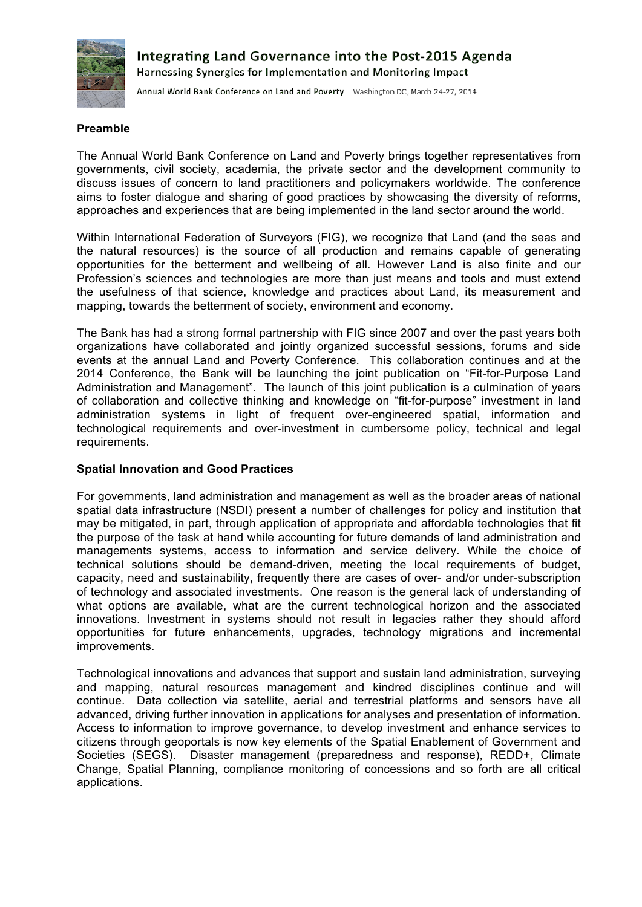

Integrating Land Governance into the Post-2015 Agenda Harnessing Synergies for Implementation and Monitoring Impact

Annual World Bank Conference on Land and Poverty Washington DC, March 24-27, 2014

## **Preamble**

The Annual World Bank Conference on Land and Poverty brings together representatives from governments, civil society, academia, the private sector and the development community to discuss issues of concern to land practitioners and policymakers worldwide. The conference aims to foster dialogue and sharing of good practices by showcasing the diversity of reforms, approaches and experiences that are being implemented in the land sector around the world.

Within International Federation of Surveyors (FIG), we recognize that Land (and the seas and the natural resources) is the source of all production and remains capable of generating opportunities for the betterment and wellbeing of all. However Land is also finite and our Profession's sciences and technologies are more than just means and tools and must extend the usefulness of that science, knowledge and practices about Land, its measurement and mapping, towards the betterment of society, environment and economy.

The Bank has had a strong formal partnership with FIG since 2007 and over the past years both organizations have collaborated and jointly organized successful sessions, forums and side events at the annual Land and Poverty Conference. This collaboration continues and at the 2014 Conference, the Bank will be launching the joint publication on "Fit-for-Purpose Land Administration and Management". The launch of this joint publication is a culmination of years of collaboration and collective thinking and knowledge on "fit-for-purpose" investment in land administration systems in light of frequent over-engineered spatial, information and technological requirements and over-investment in cumbersome policy, technical and legal requirements.

## **Spatial Innovation and Good Practices**

For governments, land administration and management as well as the broader areas of national spatial data infrastructure (NSDI) present a number of challenges for policy and institution that may be mitigated, in part, through application of appropriate and affordable technologies that fit the purpose of the task at hand while accounting for future demands of land administration and managements systems, access to information and service delivery. While the choice of technical solutions should be demand-driven, meeting the local requirements of budget, capacity, need and sustainability, frequently there are cases of over- and/or under-subscription of technology and associated investments. One reason is the general lack of understanding of what options are available, what are the current technological horizon and the associated innovations. Investment in systems should not result in legacies rather they should afford opportunities for future enhancements, upgrades, technology migrations and incremental improvements.

Technological innovations and advances that support and sustain land administration, surveying and mapping, natural resources management and kindred disciplines continue and will continue. Data collection via satellite, aerial and terrestrial platforms and sensors have all advanced, driving further innovation in applications for analyses and presentation of information. Access to information to improve governance, to develop investment and enhance services to citizens through geoportals is now key elements of the Spatial Enablement of Government and Societies (SEGS). Disaster management (preparedness and response), REDD+, Climate Change, Spatial Planning, compliance monitoring of concessions and so forth are all critical applications.